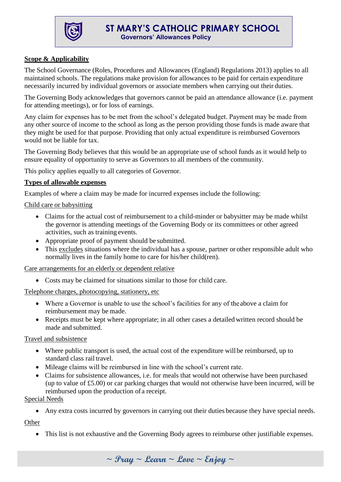

## **Scope & Applicability**

The School Governance (Roles, Procedures and Allowances (England) Regulations 2013) applies to all maintained schools. The regulations make provision for allowances to be paid for certain expenditure necessarily incurred by individual governors or associate members when carrying out their duties.

The Governing Body acknowledges that governors cannot be paid an attendance allowance (i.e. payment for attending meetings), or for loss of earnings.

Any claim for expenses has to be met from the school's delegated budget. Payment may be made from any other source of income to the school as long as the person providing those funds is made aware that they might be used for that purpose. Providing that only actual expenditure is reimbursed Governors would not be liable for tax.

The Governing Body believes that this would be an appropriate use of school funds as it would help to ensure equality of opportunity to serve as Governors to all members of the community.

This policy applies equally to all categories of Governor.

#### **Types of allowable expenses**

Examples of where a claim may be made for incurred expenses include the following:

Child care or babysitting

- Claims for the actual cost of reimbursement to a child-minder or babysitter may be made whilst the governor is attending meetings of the Governing Body or its committees or other agreed activities, such as training events.
- Appropriate proof of payment should be submitted.
- This excludes situations where the individual has a spouse, partner or other responsible adult who normally lives in the family home to care for his/her child(ren).

Care arrangements for an elderly or dependent relative

Costs may be claimed for situations similar to those for child care.

Telephone charges, photocopying, stationery, etc

- Where a Governor is unable to use the school's facilities for any of the above a claim for reimbursement may be made.
- Receipts must be kept where appropriate; in all other cases a detailed written record should be made and submitted.

#### Travel and subsistence

- Where public transport is used, the actual cost of the expenditure will be reimbursed, up to standard class rail travel.
- Mileage claims will be reimbursed in line with the school's current rate.
- Claims for subsistence allowances, i.e. for meals that would not otherwise have been purchased (up to value of £5.00) or car parking charges that would not otherwise have been incurred, will be reimbursed upon the production ofa receipt.

Special Needs

Any extra costs incurred by governors in carrying out their duties because they have special needs.

**Other** 

This list is not exhaustive and the Governing Body agrees to reimburse other justifiable expenses.

**~ Pray ~ Learn ~ Love ~ Enjoy ~**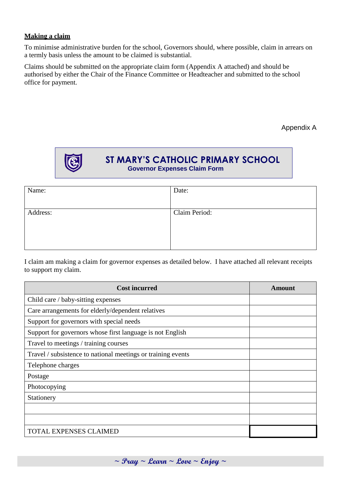### **Making a claim**

To minimise administrative burden for the school, Governors should, where possible, claim in arrears on a termly basis unless the amount to be claimed is substantial.

Claims should be submitted on the appropriate claim form (Appendix A attached) and should be authorised by either the Chair of the Finance Committee or Headteacher and submitted to the school office for payment.

Appendix A



# **ST MARY'S CATHOLIC PRIMARY SCHOOL Governor Expenses Claim Form**

| Name:    | Date:         |
|----------|---------------|
| Address: | Claim Period: |

I claim am making a claim for governor expenses as detailed below. I have attached all relevant receipts to support my claim.

| <b>Cost incurred</b>                                         | Amount |
|--------------------------------------------------------------|--------|
| Child care / baby-sitting expenses                           |        |
| Care arrangements for elderly/dependent relatives            |        |
| Support for governors with special needs                     |        |
| Support for governors whose first language is not English    |        |
| Travel to meetings / training courses                        |        |
| Travel / subsistence to national meetings or training events |        |
| Telephone charges                                            |        |
| Postage                                                      |        |
| Photocopying                                                 |        |
| Stationery                                                   |        |
|                                                              |        |
|                                                              |        |
| <b>TOTAL EXPENSES CLAIMED</b>                                |        |

**~ Pray ~ Learn ~ Love ~ Enjoy ~**